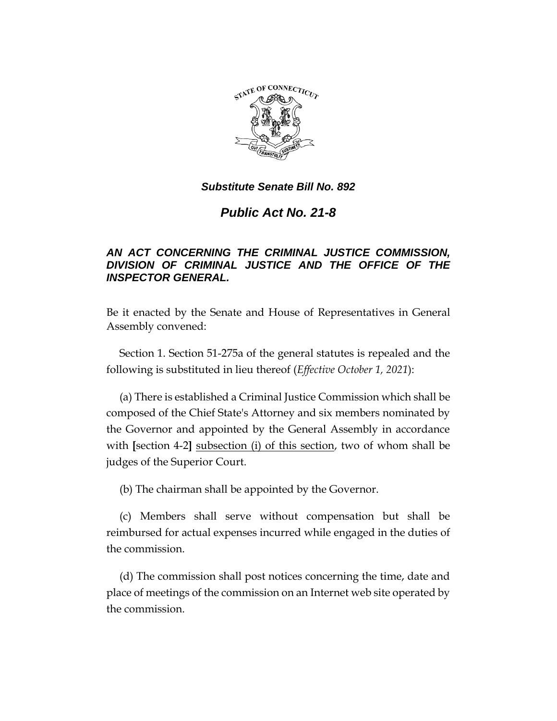

# *Public Act No. 21-8*

# *AN ACT CONCERNING THE CRIMINAL JUSTICE COMMISSION, DIVISION OF CRIMINAL JUSTICE AND THE OFFICE OF THE INSPECTOR GENERAL.*

Be it enacted by the Senate and House of Representatives in General Assembly convened:

Section 1. Section 51-275a of the general statutes is repealed and the following is substituted in lieu thereof (*Effective October 1, 2021*):

(a) There is established a Criminal Justice Commission which shall be composed of the Chief State's Attorney and six members nominated by the Governor and appointed by the General Assembly in accordance with **[**section 4-2**]** subsection (i) of this section, two of whom shall be judges of the Superior Court.

(b) The chairman shall be appointed by the Governor.

(c) Members shall serve without compensation but shall be reimbursed for actual expenses incurred while engaged in the duties of the commission.

(d) The commission shall post notices concerning the time, date and place of meetings of the commission on an Internet web site operated by the commission.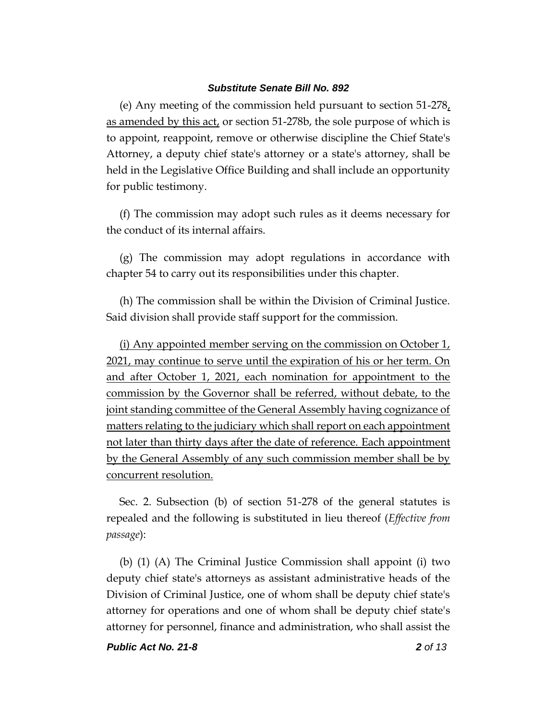(e) Any meeting of the commission held pursuant to section 51-278, as amended by this act, or section 51-278b, the sole purpose of which is to appoint, reappoint, remove or otherwise discipline the Chief State's Attorney, a deputy chief state's attorney or a state's attorney, shall be held in the Legislative Office Building and shall include an opportunity for public testimony.

(f) The commission may adopt such rules as it deems necessary for the conduct of its internal affairs.

(g) The commission may adopt regulations in accordance with chapter 54 to carry out its responsibilities under this chapter.

(h) The commission shall be within the Division of Criminal Justice. Said division shall provide staff support for the commission.

(i) Any appointed member serving on the commission on October 1, 2021, may continue to serve until the expiration of his or her term. On and after October 1, 2021, each nomination for appointment to the commission by the Governor shall be referred, without debate, to the joint standing committee of the General Assembly having cognizance of matters relating to the judiciary which shall report on each appointment not later than thirty days after the date of reference. Each appointment by the General Assembly of any such commission member shall be by concurrent resolution.

Sec. 2. Subsection (b) of section 51-278 of the general statutes is repealed and the following is substituted in lieu thereof (*Effective from passage*):

(b) (1) (A) The Criminal Justice Commission shall appoint (i) two deputy chief state's attorneys as assistant administrative heads of the Division of Criminal Justice, one of whom shall be deputy chief state's attorney for operations and one of whom shall be deputy chief state's attorney for personnel, finance and administration, who shall assist the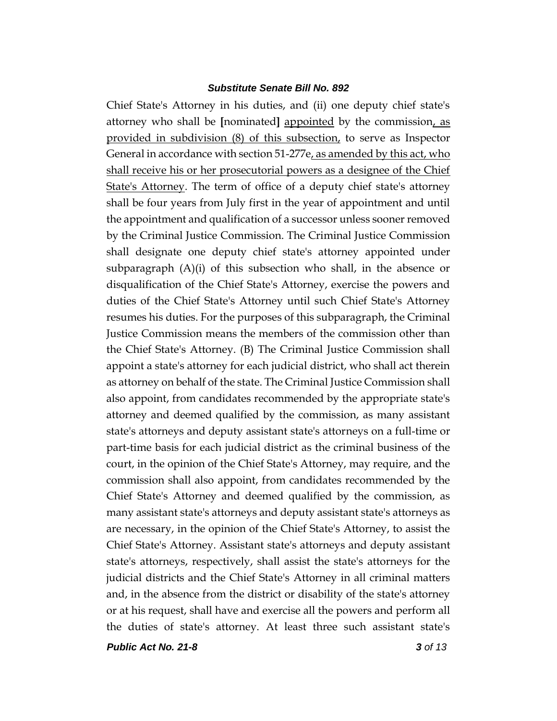Chief State's Attorney in his duties, and (ii) one deputy chief state's attorney who shall be **[**nominated**]** appointed by the commission, as provided in subdivision (8) of this subsection, to serve as Inspector General in accordance with section 51-277e, as amended by this act, who shall receive his or her prosecutorial powers as a designee of the Chief State's Attorney. The term of office of a deputy chief state's attorney shall be four years from July first in the year of appointment and until the appointment and qualification of a successor unless sooner removed by the Criminal Justice Commission. The Criminal Justice Commission shall designate one deputy chief state's attorney appointed under subparagraph (A)(i) of this subsection who shall, in the absence or disqualification of the Chief State's Attorney, exercise the powers and duties of the Chief State's Attorney until such Chief State's Attorney resumes his duties. For the purposes of this subparagraph, the Criminal Justice Commission means the members of the commission other than the Chief State's Attorney. (B) The Criminal Justice Commission shall appoint a state's attorney for each judicial district, who shall act therein as attorney on behalf of the state. The Criminal Justice Commission shall also appoint, from candidates recommended by the appropriate state's attorney and deemed qualified by the commission, as many assistant state's attorneys and deputy assistant state's attorneys on a full-time or part-time basis for each judicial district as the criminal business of the court, in the opinion of the Chief State's Attorney, may require, and the commission shall also appoint, from candidates recommended by the Chief State's Attorney and deemed qualified by the commission, as many assistant state's attorneys and deputy assistant state's attorneys as are necessary, in the opinion of the Chief State's Attorney, to assist the Chief State's Attorney. Assistant state's attorneys and deputy assistant state's attorneys, respectively, shall assist the state's attorneys for the judicial districts and the Chief State's Attorney in all criminal matters and, in the absence from the district or disability of the state's attorney or at his request, shall have and exercise all the powers and perform all the duties of state's attorney. At least three such assistant state's

*Public Act No. 21-8 3 of 13*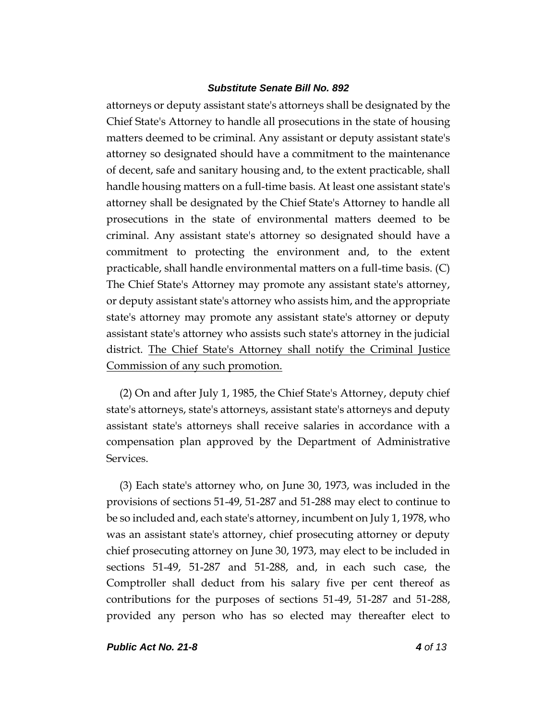attorneys or deputy assistant state's attorneys shall be designated by the Chief State's Attorney to handle all prosecutions in the state of housing matters deemed to be criminal. Any assistant or deputy assistant state's attorney so designated should have a commitment to the maintenance of decent, safe and sanitary housing and, to the extent practicable, shall handle housing matters on a full-time basis. At least one assistant state's attorney shall be designated by the Chief State's Attorney to handle all prosecutions in the state of environmental matters deemed to be criminal. Any assistant state's attorney so designated should have a commitment to protecting the environment and, to the extent practicable, shall handle environmental matters on a full-time basis. (C) The Chief State's Attorney may promote any assistant state's attorney, or deputy assistant state's attorney who assists him, and the appropriate state's attorney may promote any assistant state's attorney or deputy assistant state's attorney who assists such state's attorney in the judicial district. The Chief State's Attorney shall notify the Criminal Justice Commission of any such promotion.

(2) On and after July 1, 1985, the Chief State's Attorney, deputy chief state's attorneys, state's attorneys, assistant state's attorneys and deputy assistant state's attorneys shall receive salaries in accordance with a compensation plan approved by the Department of Administrative Services.

(3) Each state's attorney who, on June 30, 1973, was included in the provisions of sections 51-49, 51-287 and 51-288 may elect to continue to be so included and, each state's attorney, incumbent on July 1, 1978, who was an assistant state's attorney, chief prosecuting attorney or deputy chief prosecuting attorney on June 30, 1973, may elect to be included in sections 51-49, 51-287 and 51-288, and, in each such case, the Comptroller shall deduct from his salary five per cent thereof as contributions for the purposes of sections 51-49, 51-287 and 51-288, provided any person who has so elected may thereafter elect to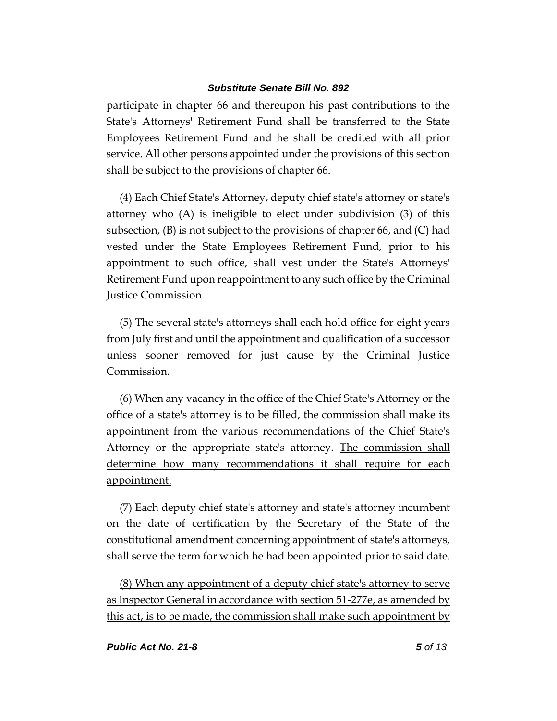participate in chapter 66 and thereupon his past contributions to the State's Attorneys' Retirement Fund shall be transferred to the State Employees Retirement Fund and he shall be credited with all prior service. All other persons appointed under the provisions of this section shall be subject to the provisions of chapter 66.

(4) Each Chief State's Attorney, deputy chief state's attorney or state's attorney who  $(A)$  is ineligible to elect under subdivision  $(3)$  of this subsection, (B) is not subject to the provisions of chapter 66, and (C) had vested under the State Employees Retirement Fund, prior to his appointment to such office, shall vest under the State's Attorneys' Retirement Fund upon reappointment to any such office by the Criminal Justice Commission.

(5) The several state's attorneys shall each hold office for eight years from July first and until the appointment and qualification of a successor unless sooner removed for just cause by the Criminal Justice Commission.

(6) When any vacancy in the office of the Chief State's Attorney or the office of a state's attorney is to be filled, the commission shall make its appointment from the various recommendations of the Chief State's Attorney or the appropriate state's attorney. The commission shall determine how many recommendations it shall require for each appointment.

(7) Each deputy chief state's attorney and state's attorney incumbent on the date of certification by the Secretary of the State of the constitutional amendment concerning appointment of state's attorneys, shall serve the term for which he had been appointed prior to said date.

(8) When any appointment of a deputy chief state's attorney to serve as Inspector General in accordance with section 51-277e, as amended by this act, is to be made, the commission shall make such appointment by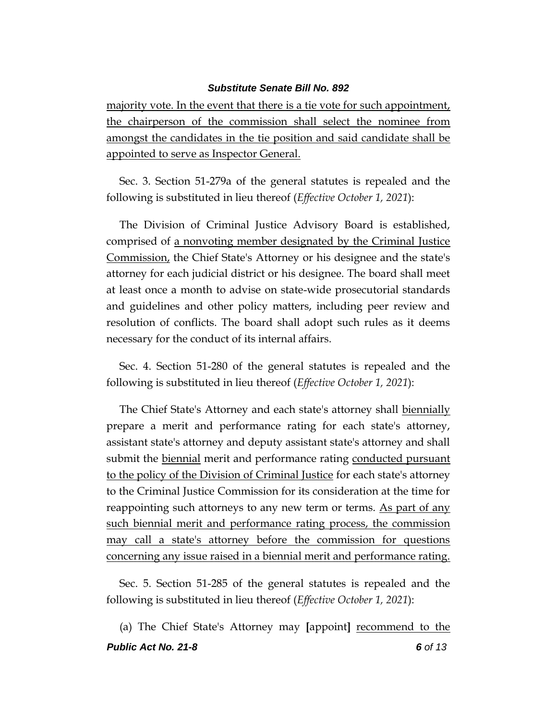majority vote. In the event that there is a tie vote for such appointment, the chairperson of the commission shall select the nominee from amongst the candidates in the tie position and said candidate shall be appointed to serve as Inspector General.

Sec. 3. Section 51-279a of the general statutes is repealed and the following is substituted in lieu thereof (*Effective October 1, 2021*):

The Division of Criminal Justice Advisory Board is established, comprised of a nonvoting member designated by the Criminal Justice Commission, the Chief State's Attorney or his designee and the state's attorney for each judicial district or his designee. The board shall meet at least once a month to advise on state-wide prosecutorial standards and guidelines and other policy matters, including peer review and resolution of conflicts. The board shall adopt such rules as it deems necessary for the conduct of its internal affairs.

Sec. 4. Section 51-280 of the general statutes is repealed and the following is substituted in lieu thereof (*Effective October 1, 2021*):

The Chief State's Attorney and each state's attorney shall biennially prepare a merit and performance rating for each state's attorney, assistant state's attorney and deputy assistant state's attorney and shall submit the <u>biennial</u> merit and performance rating conducted pursuant to the policy of the Division of Criminal Justice for each state's attorney to the Criminal Justice Commission for its consideration at the time for reappointing such attorneys to any new term or terms. As part of any such biennial merit and performance rating process, the commission may call a state's attorney before the commission for questions concerning any issue raised in a biennial merit and performance rating.

Sec. 5. Section 51-285 of the general statutes is repealed and the following is substituted in lieu thereof (*Effective October 1, 2021*):

*Public Act No. 21-8 6 of 13* (a) The Chief State's Attorney may **[**appoint**]** recommend to the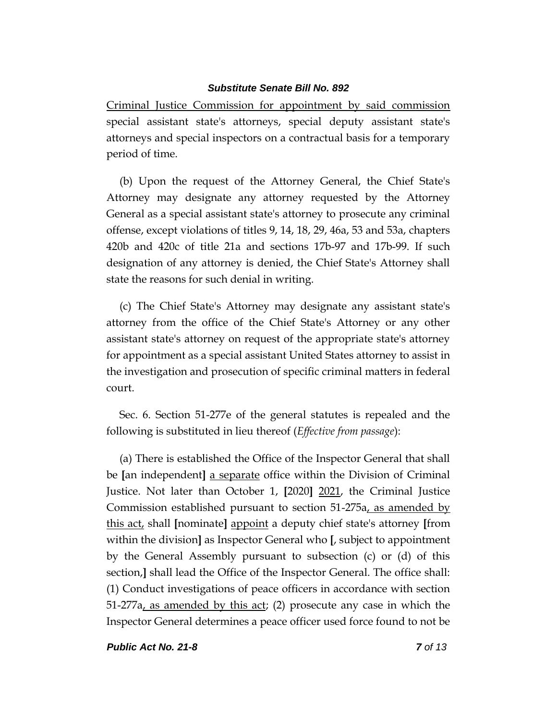Criminal Justice Commission for appointment by said commission special assistant state's attorneys, special deputy assistant state's attorneys and special inspectors on a contractual basis for a temporary period of time.

(b) Upon the request of the Attorney General, the Chief State's Attorney may designate any attorney requested by the Attorney General as a special assistant state's attorney to prosecute any criminal offense, except violations of titles 9, 14, 18, 29, 46a, 53 and 53a, chapters 420b and 420c of title 21a and sections 17b-97 and 17b-99. If such designation of any attorney is denied, the Chief State's Attorney shall state the reasons for such denial in writing.

(c) The Chief State's Attorney may designate any assistant state's attorney from the office of the Chief State's Attorney or any other assistant state's attorney on request of the appropriate state's attorney for appointment as a special assistant United States attorney to assist in the investigation and prosecution of specific criminal matters in federal court.

Sec. 6. Section 51-277e of the general statutes is repealed and the following is substituted in lieu thereof (*Effective from passage*):

(a) There is established the Office of the Inspector General that shall be **[**an independent**]** a separate office within the Division of Criminal Justice. Not later than October 1, **[**2020**]** 2021, the Criminal Justice Commission established pursuant to section 51-275a, as amended by this act, shall **[**nominate**]** appoint a deputy chief state's attorney **[**from within the division**]** as Inspector General who **[**, subject to appointment by the General Assembly pursuant to subsection (c) or (d) of this section,**]** shall lead the Office of the Inspector General. The office shall: (1) Conduct investigations of peace officers in accordance with section 51-277a, as amended by this act; (2) prosecute any case in which the Inspector General determines a peace officer used force found to not be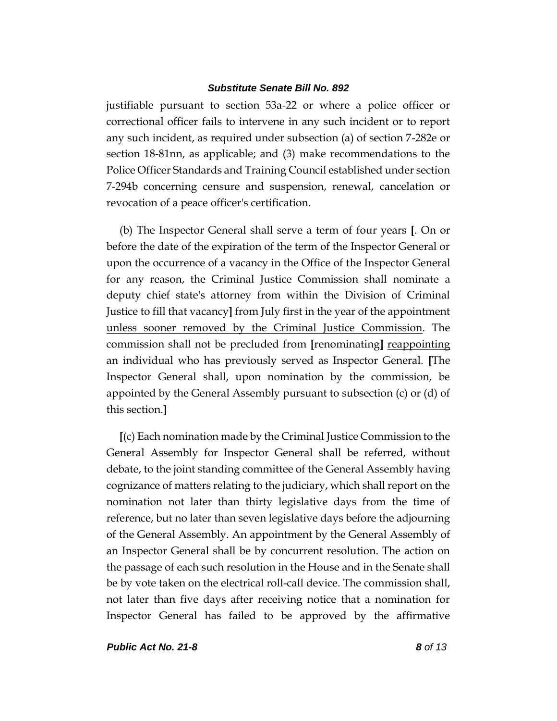justifiable pursuant to section 53a-22 or where a police officer or correctional officer fails to intervene in any such incident or to report any such incident, as required under subsection (a) of section 7-282e or section 18-81nn, as applicable; and (3) make recommendations to the Police Officer Standards and Training Council established under section 7-294b concerning censure and suspension, renewal, cancelation or revocation of a peace officer's certification.

(b) The Inspector General shall serve a term of four years **[**. On or before the date of the expiration of the term of the Inspector General or upon the occurrence of a vacancy in the Office of the Inspector General for any reason, the Criminal Justice Commission shall nominate a deputy chief state's attorney from within the Division of Criminal Justice to fill that vacancy**]** from July first in the year of the appointment unless sooner removed by the Criminal Justice Commission. The commission shall not be precluded from [renominating] reappointing an individual who has previously served as Inspector General. **[**The Inspector General shall, upon nomination by the commission, be appointed by the General Assembly pursuant to subsection (c) or (d) of this section.**]**

**[**(c) Each nomination made by the Criminal Justice Commission to the General Assembly for Inspector General shall be referred, without debate, to the joint standing committee of the General Assembly having cognizance of matters relating to the judiciary, which shall report on the nomination not later than thirty legislative days from the time of reference, but no later than seven legislative days before the adjourning of the General Assembly. An appointment by the General Assembly of an Inspector General shall be by concurrent resolution. The action on the passage of each such resolution in the House and in the Senate shall be by vote taken on the electrical roll-call device. The commission shall, not later than five days after receiving notice that a nomination for Inspector General has failed to be approved by the affirmative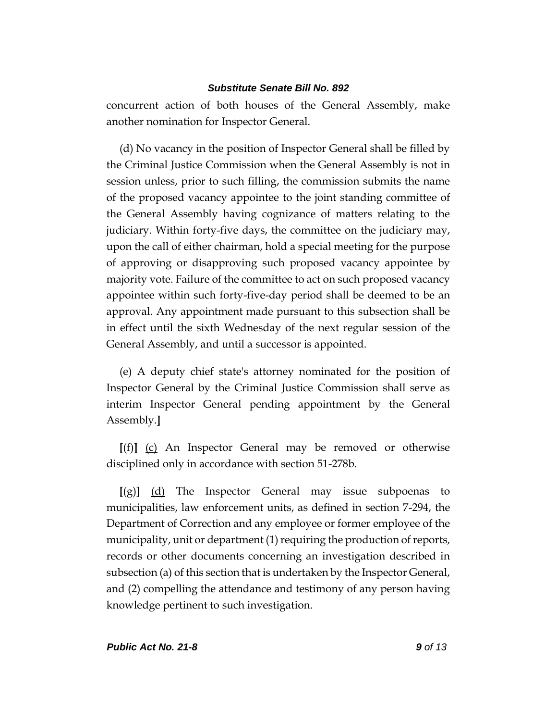concurrent action of both houses of the General Assembly, make another nomination for Inspector General.

(d) No vacancy in the position of Inspector General shall be filled by the Criminal Justice Commission when the General Assembly is not in session unless, prior to such filling, the commission submits the name of the proposed vacancy appointee to the joint standing committee of the General Assembly having cognizance of matters relating to the judiciary. Within forty-five days, the committee on the judiciary may, upon the call of either chairman, hold a special meeting for the purpose of approving or disapproving such proposed vacancy appointee by majority vote. Failure of the committee to act on such proposed vacancy appointee within such forty-five-day period shall be deemed to be an approval. Any appointment made pursuant to this subsection shall be in effect until the sixth Wednesday of the next regular session of the General Assembly, and until a successor is appointed.

(e) A deputy chief state's attorney nominated for the position of Inspector General by the Criminal Justice Commission shall serve as interim Inspector General pending appointment by the General Assembly.**]**

**[**(f)**]** (c) An Inspector General may be removed or otherwise disciplined only in accordance with section 51-278b.

**[**(g)**]** (d) The Inspector General may issue subpoenas to municipalities, law enforcement units, as defined in section 7-294, the Department of Correction and any employee or former employee of the municipality, unit or department (1) requiring the production of reports, records or other documents concerning an investigation described in subsection (a) of this section that is undertaken by the Inspector General, and (2) compelling the attendance and testimony of any person having knowledge pertinent to such investigation.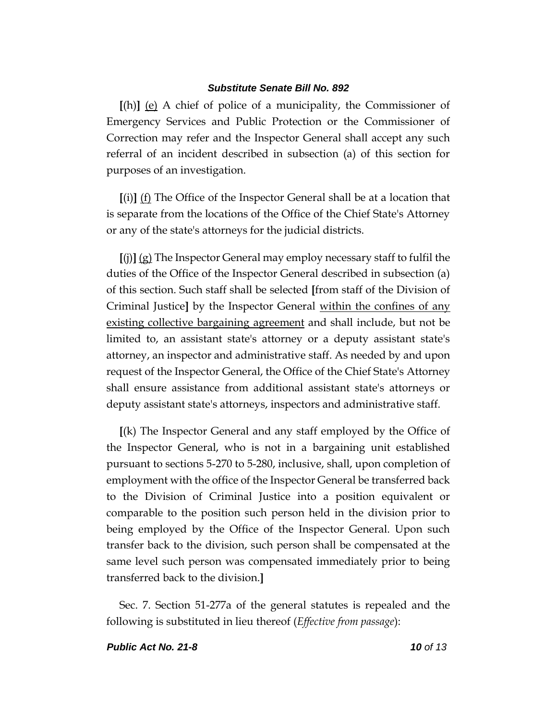**[**(h)**]** (e) A chief of police of a municipality, the Commissioner of Emergency Services and Public Protection or the Commissioner of Correction may refer and the Inspector General shall accept any such referral of an incident described in subsection (a) of this section for purposes of an investigation.

**[**(i)**]** (f) The Office of the Inspector General shall be at a location that is separate from the locations of the Office of the Chief State's Attorney or any of the state's attorneys for the judicial districts.

**[**(j)**]** (g) The Inspector General may employ necessary staff to fulfil the duties of the Office of the Inspector General described in subsection (a) of this section. Such staff shall be selected **[**from staff of the Division of Criminal Justice**]** by the Inspector General within the confines of any existing collective bargaining agreement and shall include, but not be limited to, an assistant state's attorney or a deputy assistant state's attorney, an inspector and administrative staff. As needed by and upon request of the Inspector General, the Office of the Chief State's Attorney shall ensure assistance from additional assistant state's attorneys or deputy assistant state's attorneys, inspectors and administrative staff.

**[**(k) The Inspector General and any staff employed by the Office of the Inspector General, who is not in a bargaining unit established pursuant to sections 5-270 to 5-280, inclusive, shall, upon completion of employment with the office of the Inspector General be transferred back to the Division of Criminal Justice into a position equivalent or comparable to the position such person held in the division prior to being employed by the Office of the Inspector General. Upon such transfer back to the division, such person shall be compensated at the same level such person was compensated immediately prior to being transferred back to the division.**]**

Sec. 7. Section 51-277a of the general statutes is repealed and the following is substituted in lieu thereof (*Effective from passage*):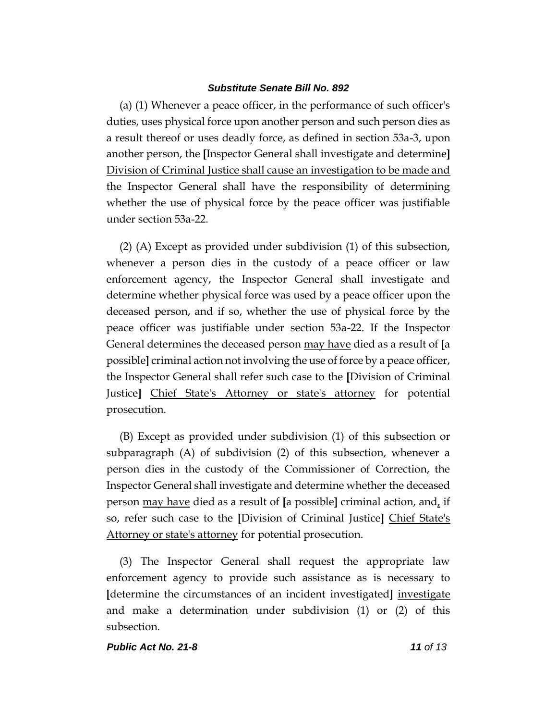(a) (1) Whenever a peace officer, in the performance of such officer's duties, uses physical force upon another person and such person dies as a result thereof or uses deadly force, as defined in section 53a-3, upon another person, the **[**Inspector General shall investigate and determine**]** Division of Criminal Justice shall cause an investigation to be made and the Inspector General shall have the responsibility of determining whether the use of physical force by the peace officer was justifiable under section 53a-22.

(2) (A) Except as provided under subdivision (1) of this subsection, whenever a person dies in the custody of a peace officer or law enforcement agency, the Inspector General shall investigate and determine whether physical force was used by a peace officer upon the deceased person, and if so, whether the use of physical force by the peace officer was justifiable under section 53a-22. If the Inspector General determines the deceased person may have died as a result of **[**a possible**]** criminal action not involving the use of force by a peace officer, the Inspector General shall refer such case to the **[**Division of Criminal Justice**]** Chief State's Attorney or state's attorney for potential prosecution.

(B) Except as provided under subdivision (1) of this subsection or subparagraph (A) of subdivision (2) of this subsection, whenever a person dies in the custody of the Commissioner of Correction, the Inspector General shall investigate and determine whether the deceased person may have died as a result of **[**a possible**]** criminal action, and, if so, refer such case to the **[**Division of Criminal Justice**]** Chief State's Attorney or state's attorney for potential prosecution.

(3) The Inspector General shall request the appropriate law enforcement agency to provide such assistance as is necessary to **[**determine the circumstances of an incident investigated**]** investigate and make a determination under subdivision (1) or (2) of this subsection.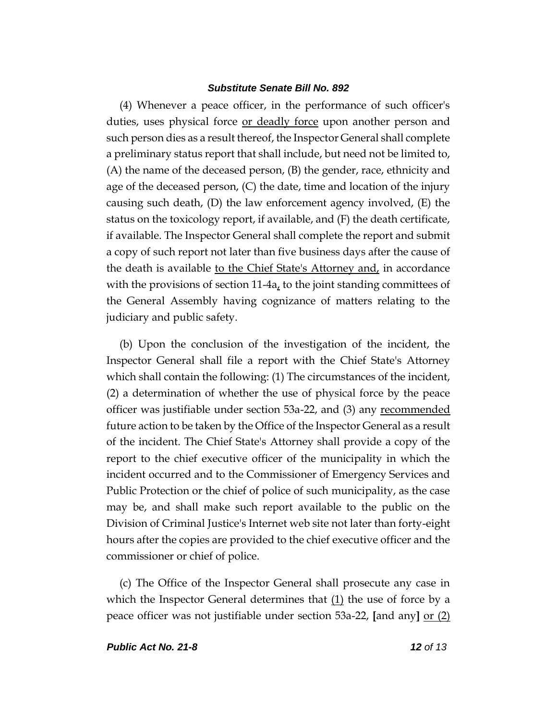(4) Whenever a peace officer, in the performance of such officer's duties, uses physical force or deadly force upon another person and such person dies as a result thereof, the Inspector General shall complete a preliminary status report that shall include, but need not be limited to, (A) the name of the deceased person, (B) the gender, race, ethnicity and age of the deceased person, (C) the date, time and location of the injury causing such death, (D) the law enforcement agency involved, (E) the status on the toxicology report, if available, and (F) the death certificate, if available. The Inspector General shall complete the report and submit a copy of such report not later than five business days after the cause of the death is available to the Chief State's Attorney and, in accordance with the provisions of section 11-4a, to the joint standing committees of the General Assembly having cognizance of matters relating to the judiciary and public safety.

(b) Upon the conclusion of the investigation of the incident, the Inspector General shall file a report with the Chief State's Attorney which shall contain the following: (1) The circumstances of the incident, (2) a determination of whether the use of physical force by the peace officer was justifiable under section 53a-22, and (3) any recommended future action to be taken by the Office of the Inspector General as a result of the incident. The Chief State's Attorney shall provide a copy of the report to the chief executive officer of the municipality in which the incident occurred and to the Commissioner of Emergency Services and Public Protection or the chief of police of such municipality, as the case may be, and shall make such report available to the public on the Division of Criminal Justice's Internet web site not later than forty-eight hours after the copies are provided to the chief executive officer and the commissioner or chief of police.

(c) The Office of the Inspector General shall prosecute any case in which the Inspector General determines that  $(1)$  the use of force by a peace officer was not justifiable under section 53a-22, **[**and any**]** or (2)